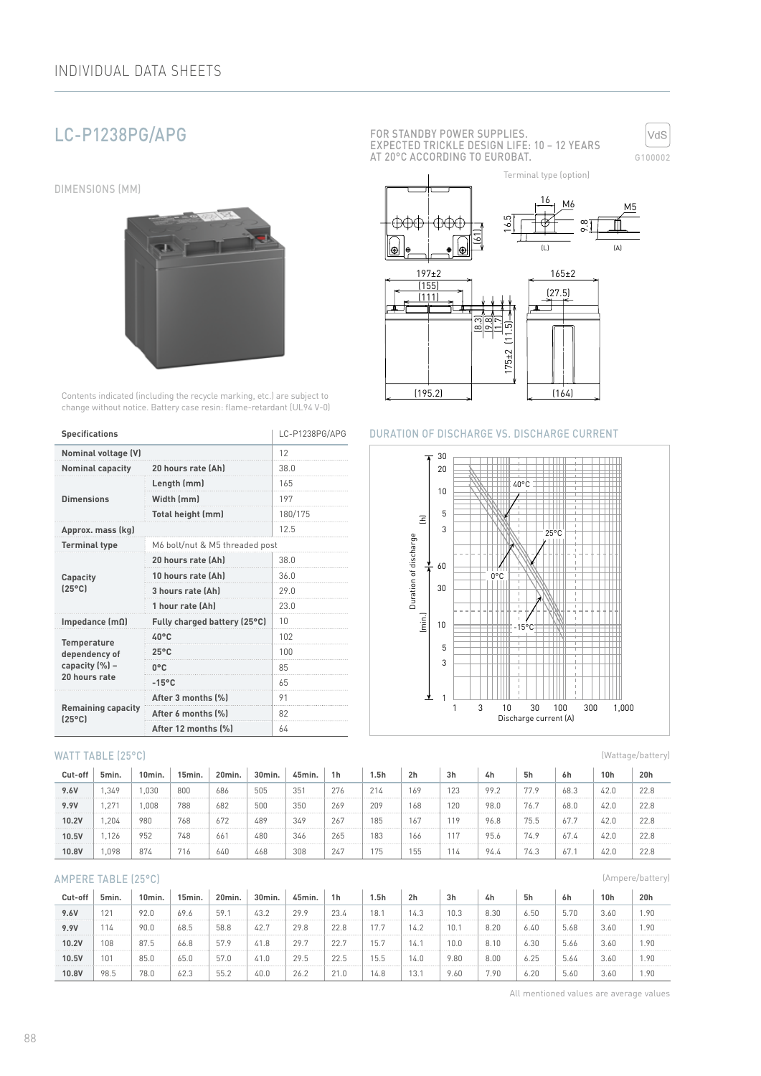# LC-P1238PG/APG

DIMENSIONS (MM)



Contents indicated (including the recycle marking, etc.) are subject to change without notice. Battery case resin: flame-retardant (UL94 V-0)

| <b>Specifications</b>                        | LC-P1238PG/APG                 |         |  |  |
|----------------------------------------------|--------------------------------|---------|--|--|
| <b>Nominal voltage (V)</b>                   |                                | 12      |  |  |
| <b>Nominal capacity</b>                      | 20 hours rate (Ah)             | 38.0    |  |  |
|                                              | Length (mm)                    | 165     |  |  |
| <b>Dimensions</b>                            | Width (mm)                     | 197     |  |  |
|                                              | Total height (mm)              | 180/175 |  |  |
| Approx. mass (kg)                            |                                | 12.5    |  |  |
| <b>Terminal type</b>                         | M6 bolt/nut & M5 threaded post |         |  |  |
|                                              | 20 hours rate (Ah)             | 38.0    |  |  |
| Capacity                                     | 10 hours rate (Ah)             | 36.0    |  |  |
| $[25^{\circ}C]$                              | 3 hours rate (Ah)              | 29.0    |  |  |
|                                              | 1 hour rate (Ah)               | 23.0    |  |  |
| Impedance $(m\Omega)$                        | Fully charged battery (25°C)   | 10      |  |  |
| Temperature                                  | $40^{\circ}$ C                 | 102     |  |  |
| dependency of                                | $25^{\circ}$ C                 | 100     |  |  |
| capacity (%) -                               | $0^{\circ}$ C                  | 85      |  |  |
| 20 hours rate                                | $-15^{\circ}$ C                | 65      |  |  |
|                                              | After 3 months (%)             | 91      |  |  |
| <b>Remaining capacity</b><br>$(25^{\circ}C)$ | After 6 months (%)             | 82      |  |  |
|                                              | After 12 months [%]            | 64      |  |  |

#### WATT TABLE (25°C)

| Cut-off | 5min. | 10min. | 15min. | 20min. | 30min. | 45min. | 1 <sub>h</sub> | 1.5h | 2 <sub>h</sub> | 3h  | 4h   | 5h   | 6h   | 10 <sub>h</sub> | 20h  |
|---------|-------|--------|--------|--------|--------|--------|----------------|------|----------------|-----|------|------|------|-----------------|------|
| 9.6V    | .349  | .030   | 800    | 686    | 505    | 351    | 276            | 214  | 169            | 123 | 99.2 | 77.9 | 68.3 | 42.0            | 22.8 |
| 9.9V    | .27   | .008   | 788    | 682    | 500    | 350    | 269            | 209  | 168            | 120 | 98.0 | 76.7 | 68.0 | 42.0            | 22.8 |
| 10.2V   | .204  | 980    | 768    | 672    | 489    | 349    | 267            | 185  | 167            | 119 | 96.8 | 75.5 | 67.7 | 42.0            | 22.8 |
| 10.5V   | .126  | 952    | 748    | 661    | 480    | 346    | 265            | 183  | 166            | 117 | 95.6 | 74.9 | 67.4 | 42.0            | 22.8 |
| 10.8V   | .098  | 874    | 716    | 640    | 468    | 308    | 247            | '75  | 155            | 114 | 94.4 | 74.3 | 67.  | 42.0            | 22.8 |

#### AMPERE TABLE (25°C)

| Cut-off | 5min. | 10min. | 15min. | 20min. | 30min. | 45min. | 1 <sub>h</sub> | 5h   | 2h   | 3h   | 4h   | 5h   | 6h   | 10h  | 20h  |
|---------|-------|--------|--------|--------|--------|--------|----------------|------|------|------|------|------|------|------|------|
| 9.6V    | 121   | 92.0   | 69.6   | 59.    | 43.2   | 29.9   | 23.4           | 18.1 | 14.3 | 10.3 | 8.30 | 6.50 | 5.70 | 3.60 | 1.90 |
| 9.9V    | 114   | 90.0   | 68.5   | 58.8   | 42.7   | 29.8   | 22.8           | 7.7  | 14.2 | 10.7 | 8.20 | 6.40 | 5.68 | 3.60 | 1.90 |
| 10.2V   | 108   | 87.5   | 66.8   | 57.9   | 41.8   | 29.7   | 22.7           | 15.7 | 14.  | 10.0 | 8.10 | 6.30 | 5.66 | 3.60 | 1.90 |
| 10.5V   | 101   | 85.0   | 65.0   | 57.0   | 41.0   | 29.5   | 22.5           | 15.5 | 14.0 | 9.80 | 8.00 | 6.25 | 5.64 | 3.60 | 1.90 |
| 10.8V   | 98.5  | 78.0   | 62.3   | 55.2   | 40.0   | 26.2   | 21.0           | 14.8 | 13.1 | 9.60 | 7.90 | 6.20 | 5.60 | 3.60 | 1.90 |

FOR STANDBY POWER SUPPLIES. EXPECTED TRICKLE DESIGN LIFE: 10 – 12 YEARS AT 20°C ACCORDING TO EUROBAT.



Terminal type (option)



## DURATION OF DISCHARGE VS. DISCHARGE CURRENT



(Wattage/battery)

(Ampere/battery)

All mentioned values are average values